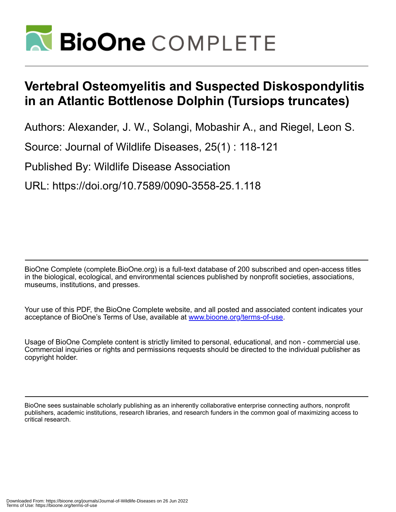

## **Vertebral Osteomyelitis and Suspected Diskospondylitis in an Atlantic Bottlenose Dolphin (Tursiops truncates)**

Authors: Alexander, J. W., Solangi, Mobashir A., and Riegel, Leon S.

Source: Journal of Wildlife Diseases, 25(1) : 118-121

Published By: Wildlife Disease Association

URL: https://doi.org/10.7589/0090-3558-25.1.118

BioOne Complete (complete.BioOne.org) is a full-text database of 200 subscribed and open-access titles in the biological, ecological, and environmental sciences published by nonprofit societies, associations, museums, institutions, and presses.

Your use of this PDF, the BioOne Complete website, and all posted and associated content indicates your acceptance of BioOne's Terms of Use, available at www.bioone.org/terms-of-use.

Usage of BioOne Complete content is strictly limited to personal, educational, and non - commercial use. Commercial inquiries or rights and permissions requests should be directed to the individual publisher as copyright holder.

BioOne sees sustainable scholarly publishing as an inherently collaborative enterprise connecting authors, nonprofit publishers, academic institutions, research libraries, and research funders in the common goal of maximizing access to critical research.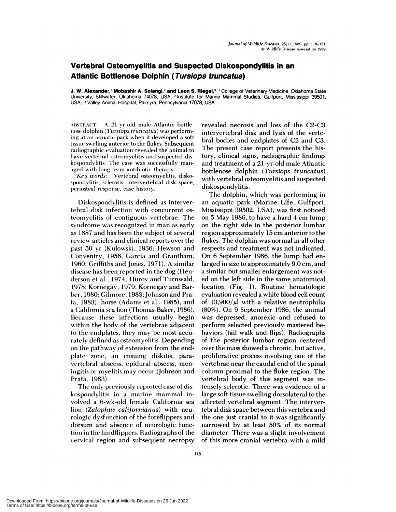## **Vertebral Osteomyelitis and Suspected Diskospondylitis in an Atlantic Bottlenose Dolphin (Tursiops truncatus)**

**J. W. Alexander,' Mobashir A. Solangi,2 and Leon S.** RiegeI,3 'College of Veterinary Medicine, Oklahoma State University, Stillwater, Oklahoma 74078, USA; **<sup>2</sup>** Institute for Marine Mammal Studies, Gulfport, Mississippi 39501, USA; <sup>3</sup> Valley Animal Hospital, Palmyra, Pennsylvania 17078, USA

ABSTRACT: A 21-yr-old male Atlantic bottlenose dolphin *(Tursiops truncatus)* was performing at an aquatic park when it developed a soft tissue swelling anterior to the flukes. Subsequent radiographic evaluation revealed the animal to have vertebral osteomyelitis and suspected dis kospondylitis. The case was successfully man aged with long-term antibiotic therapy.

*Key words:* Vertebral osteomyelitis, diskospondylitis, sclerosis, intervertebral disk space, periosteal response, case history.

Diskospondylitis is defined as intervertebral disk infection with concurrent osteomyelitis of contiguous vertebrae. The syndrome was recognized in man as early as 1887 and has been the subject of several review articles and clinical reports over the past 50 yr (Kulowski, 1936; Hewson and Conventry, 1956; Garcia and Grantham, 1960; Griffiths and Jones, 1971). A similar disease has been reported in the dog (Henderson et al., 1974; Hurov and Turnwald, 1978; Kornegay, 1979; Kornegay and Barber, 1980; Gilmore, 1983; Johnson and Prata, 1983), horse (Adams et al., 1985), and a California sea lion (Thomas-Baker, 1986). Because these infections usually begin within the body of the vertebrae adjacent to the endplates, they may be most accurately defined as osteomyelitis. Depending on the pathway of extension from the endplate zone, an ensuing diskitis, paravertebral abscess, epidural abscess, meningitis or myelitis may occur (Johnson and Prata, 1983).

The only previously reported case of diskospondylitis in a marine mammal involved a 6-wk-old female California sea lion *(Zalophus californianus)* with neurologic dysfunction of the foreflippers and dorsum and absence of neurologic function in the hindflippers. Radiographs of the cervical region and subsequent necropsy

revealed necrosis and loss of the C2-C3 intervertebral disk and lysis of the vertebral bodies and endplates of C2 and C3. The present case report presents the history, clinical signs, radiographic findings and treatment of a 21-yr-old male Atlantic bottlenose dolphin *(Tursiops truncatus)* with vertebral osteomyelitis and suspected diskospondylitis.

The dolphin, which was performing in an aquatic park (Marine Life, Gulfport, Mississippi 39502, USA), was first noticed on 5 May 1986, to have a hard 4 cm lump on the right side in the posterior lumbar region approximately 15 cm anterior to the flukes. The dolphin was normal in allother respects and treatment was not indicated. On 6 September 1986, the lump had enlarged in size to approximately 9.0 cm, and a similar but smaller enlargement was noted on the left side in the same anatomical location (Fig. 1). Routine hematologic evaluation revealed a white blood cell count of  $13,900/\mu$  with a relative neutrophilia (80%). On 9 September 1986, the animal was depressed, anorexic and refused to perform selected previously mastered behaviors (tail walk and flips). Radiographs of the posterior lumbar region centered over the mass showed a chronic, but active, proliferative process involving one of the vertebrae near the caudal end of the spinal column proximal to the fluke region. The vertebral body of this segment was intensely sclerotic. There was evidence of a large soft tissue swelling dorsolateral to the affected vertebral segment. The intervertebral disk space between this vertebra and the one just cranial to it was significantly narrowed by at least 50% of its normal diameter. There was a slight involvement of this more cranial vertebra with a mild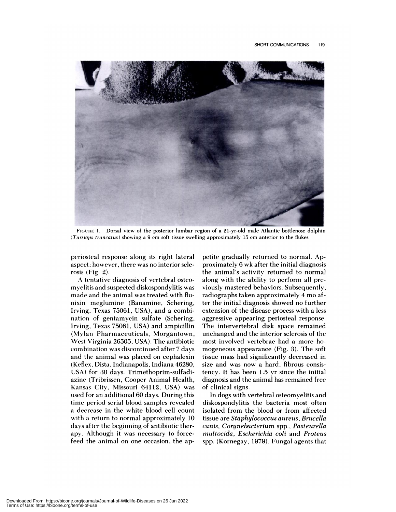

FIGURE 1. Dorsal view of the posterior lumbar region of a 21-yr-old male Atlantic bottlenose dolphin *(Tursiops truncatus)* showing a 9 cm soft tissue swelling approximately 15 cm anterior to the flukes.

periosteal response along its right lateral aspect; however, there was no interior sclerosis (Fig. 2).

A tentative diagnosis of vertebral osteomyelitis and suspected diskospondylitis was made and the animal was treated with flunixin meglumine (Banamine, Schering, Irving, Texas 75061, USA), and a combination of gentamycin sulfate (Schering, Irving, Texas 75061, USA) and ampicillin (Mvlan Pharmaceuticals, Morgantown, West Virginia 26505, USA). The antibiotic combination was discontinued after 7 days and the animal was placed on cephalexin (Keflex, Dista, Indianapolis, Indiana 46280, USA) for 30 days. Trimethoprim-sulfadiazine (Tribrissen, Cooper Animal Health, Kansas City, Missouri 64112, USA) was used for an additional 60 days. During this time period serial blood samples revealed a decrease in the white blood cell count with a return to normal approximately 10 days after the beginning of antibiotic therapy. Although it was necessary to forcefeed the animal on one occasion, the appetite gradually returned to normal. Approximately 6 wk after the initial diagnosis the animal's activity returned to normal along with the ability to perform all previously mastered behaviors. Subsequently, radiographs taken approximately 4 mo after the initial diagnosis showed no further extension of the disease process with a less aggressive appearing periosteal response. The intervertebral disk space remained unchanged and the interior sclerosis of the most involved vertebrae had a more homogeneous appearance (Fig. 3). The soft tissue mass had significantly decreased in size and was now a hard, fibrous consistency. It has been 1.5 yr since the initial diagnosis and the animal has remained free of clinical signs.

In dogs with vertebral osteomyelitis and diskospondylitis the bacteria most often isolated from the blood or from affected tissue are *Staphylococcus aureus, Brucella canis, Corynebacterium* spp., *Pasteurella inultocida, Escherichia coli* and *Proteus* spp. (Kornegay, 1979). Fungal agents that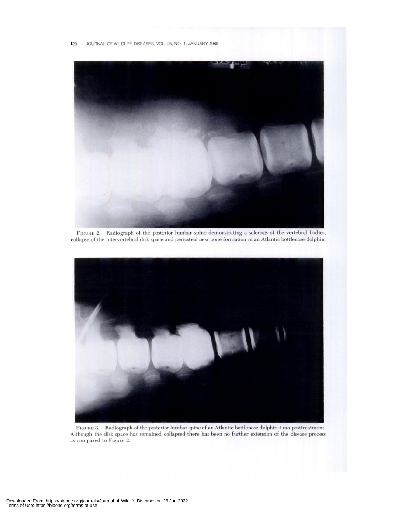

FIGURE 2. Radiograph of the posterior lumbar spine demonstrating a sclerosis of the vertebral bodies, collapse of the intervertebral disk space and periosteal new bone formation in an Atlantic bottlenose dolphin.



FIGURE 3. Radiograph of the posterior lumbar spine of an Atlantic bottlenose dolphin 4 mo posttreatment. Although the disk space has remained collapsed there has been no further extension of the disease process as compared to Figure 2.